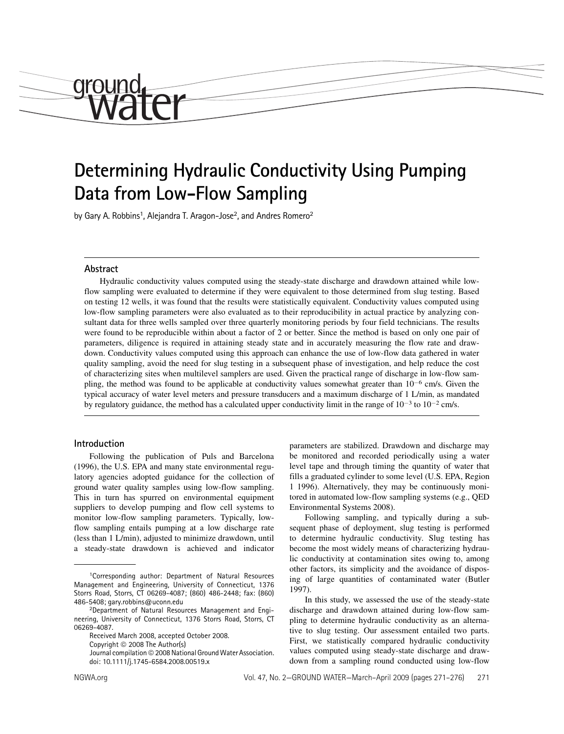# Determining Hydraulic Conductivity Using Pumping Data from Low-Flow Sampling

by Gary A. Robbins<sup>1</sup>, Alejandra T. Aragon-Jose<sup>2</sup>, and Andres Romero<sup>2</sup>

# Abstract

*<u>CILOMI</u>* 

Hydraulic conductivity values computed using the steady-state discharge and drawdown attained while lowflow sampling were evaluated to determine if they were equivalent to those determined from slug testing. Based on testing 12 wells, it was found that the results were statistically equivalent. Conductivity values computed using low-flow sampling parameters were also evaluated as to their reproducibility in actual practice by analyzing consultant data for three wells sampled over three quarterly monitoring periods by four field technicians. The results were found to be reproducible within about a factor of 2 or better. Since the method is based on only one pair of parameters, diligence is required in attaining steady state and in accurately measuring the flow rate and drawdown. Conductivity values computed using this approach can enhance the use of low-flow data gathered in water quality sampling, avoid the need for slug testing in a subsequent phase of investigation, and help reduce the cost of characterizing sites when multilevel samplers are used. Given the practical range of discharge in low-flow sampling, the method was found to be applicable at conductivity values somewhat greater than  $10^{-6}$  cm/s. Given the typical accuracy of water level meters and pressure transducers and a maximum discharge of 1 L/min, as mandated by regulatory guidance, the method has a calculated upper conductivity limit in the range of  $10^{-3}$  to  $10^{-2}$  cm/s.

#### Introduction

Following the publication of Puls and Barcelona (1996), the U.S. EPA and many state environmental regulatory agencies adopted guidance for the collection of ground water quality samples using low-flow sampling. This in turn has spurred on environmental equipment suppliers to develop pumping and flow cell systems to monitor low-flow sampling parameters. Typically, lowflow sampling entails pumping at a low discharge rate (less than 1 L/min), adjusted to minimize drawdown, until a steady-state drawdown is achieved and indicator

Received March 2008, accepted October 2008.

Copyright  $\odot$  2008 The Author(s)

Journal compilation © 2008 National Ground Water Association. doi: 10.1111/j.1745-6584.2008.00519.x

parameters are stabilized. Drawdown and discharge may be monitored and recorded periodically using a water level tape and through timing the quantity of water that fills a graduated cylinder to some level (U.S. EPA, Region 1 1996). Alternatively, they may be continuously monitored in automated low-flow sampling systems (e.g., QED Environmental Systems 2008).

Following sampling, and typically during a subsequent phase of deployment, slug testing is performed to determine hydraulic conductivity. Slug testing has become the most widely means of characterizing hydraulic conductivity at contamination sites owing to, among other factors, its simplicity and the avoidance of disposing of large quantities of contaminated water (Butler 1997).

In this study, we assessed the use of the steady-state discharge and drawdown attained during low-flow sampling to determine hydraulic conductivity as an alternative to slug testing. Our assessment entailed two parts. First, we statistically compared hydraulic conductivity values computed using steady-state discharge and drawdown from a sampling round conducted using low-flow

<sup>1</sup>Corresponding author: Department of Natural Resources Management and Engineering, University of Connecticut, 1376 Storrs Road, Storrs, CT 06269-4087; (860) 486-2448; fax: (860) 486-5408; gary.robbins@uconn.edu

<sup>2</sup>Department of Natural Resources Management and Engineering, University of Connecticut, 1376 Storrs Road, Storrs, CT 06269-4087.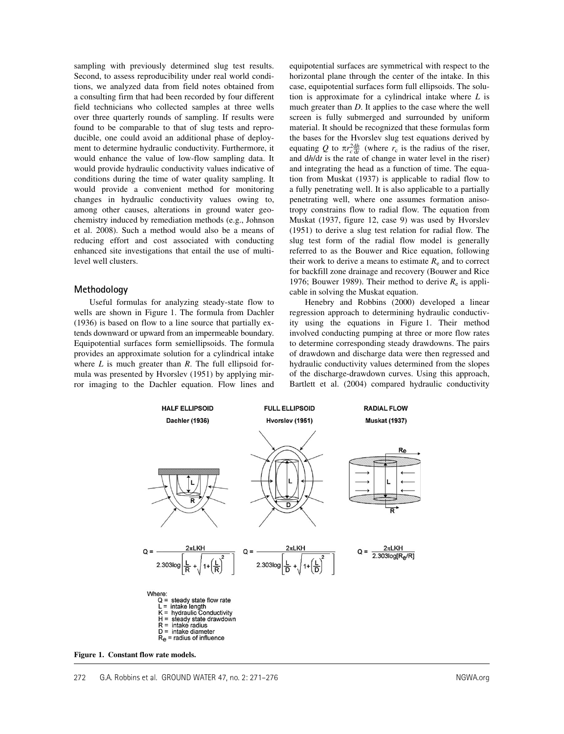sampling with previously determined slug test results. Second, to assess reproducibility under real world conditions, we analyzed data from field notes obtained from a consulting firm that had been recorded by four different field technicians who collected samples at three wells over three quarterly rounds of sampling. If results were found to be comparable to that of slug tests and reproducible, one could avoid an additional phase of deployment to determine hydraulic conductivity. Furthermore, it would enhance the value of low-flow sampling data. It would provide hydraulic conductivity values indicative of conditions during the time of water quality sampling. It would provide a convenient method for monitoring changes in hydraulic conductivity values owing to, among other causes, alterations in ground water geochemistry induced by remediation methods (e.g., Johnson et al. 2008). Such a method would also be a means of reducing effort and cost associated with conducting enhanced site investigations that entail the use of multilevel well clusters.

# Methodology

Useful formulas for analyzing steady-state flow to wells are shown in Figure 1. The formula from Dachler (1936) is based on flow to a line source that partially extends downward or upward from an impermeable boundary. Equipotential surfaces form semiellipsoids. The formula provides an approximate solution for a cylindrical intake where  $L$  is much greater than  $R$ . The full ellipsoid formula was presented by Hvorslev (1951) by applying mirror imaging to the Dachler equation. Flow lines and

equipotential surfaces are symmetrical with respect to the horizontal plane through the center of the intake. In this case, equipotential surfaces form full ellipsoids. The solution is approximate for a cylindrical intake where  $L$  is much greater than D. It applies to the case where the well screen is fully submerged and surrounded by uniform material. It should be recognized that these formulas form the bases for the Hvorslev slug test equations derived by equating Q to  $\pi r_{c}^{2} \frac{dh}{dt}$  (where  $r_c$  is the radius of the riser, and dh/dt is the rate of change in water level in the riser) and integrating the head as a function of time. The equation from Muskat (1937) is applicable to radial flow to a fully penetrating well. It is also applicable to a partially penetrating well, where one assumes formation anisotropy constrains flow to radial flow. The equation from Muskat (1937, figure 12, case 9) was used by Hvorslev (1951) to derive a slug test relation for radial flow. The slug test form of the radial flow model is generally referred to as the Bouwer and Rice equation, following their work to derive a means to estimate  $R<sub>e</sub>$  and to correct for backfill zone drainage and recovery (Bouwer and Rice 1976; Bouwer 1989). Their method to derive  $R_e$  is applicable in solving the Muskat equation.

Henebry and Robbins (2000) developed a linear regression approach to determining hydraulic conductivity using the equations in Figure 1. Their method involved conducting pumping at three or more flow rates to determine corresponding steady drawdowns. The pairs of drawdown and discharge data were then regressed and hydraulic conductivity values determined from the slopes of the discharge-drawdown curves. Using this approach, Bartlett et al. (2004) compared hydraulic conductivity



Figure 1. Constant flow rate models.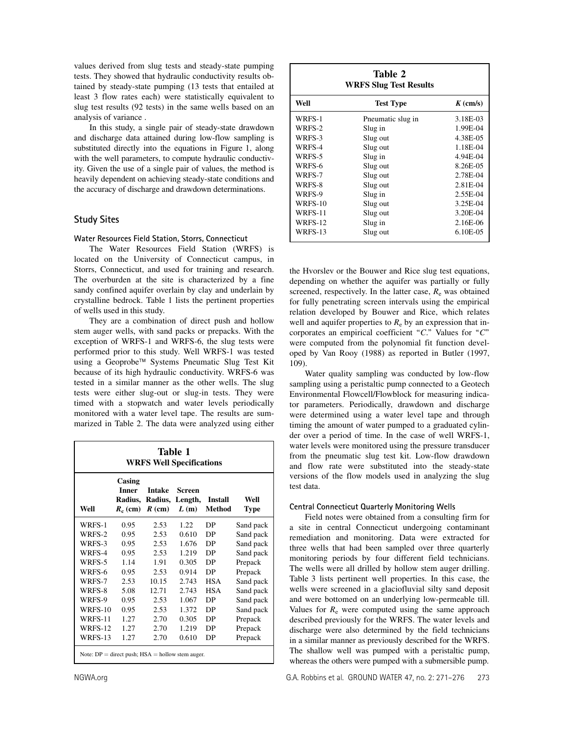values derived from slug tests and steady-state pumping tests. They showed that hydraulic conductivity results obtained by steady-state pumping (13 tests that entailed at least 3 flow rates each) were statistically equivalent to slug test results (92 tests) in the same wells based on an analysis of variance .

In this study, a single pair of steady-state drawdown and discharge data attained during low-flow sampling is substituted directly into the equations in Figure 1, along with the well parameters, to compute hydraulic conductivity. Given the use of a single pair of values, the method is heavily dependent on achieving steady-state conditions and the accuracy of discharge and drawdown determinations.

# Study Sites

#### Water Resources Field Station, Storrs, Connecticut

The Water Resources Field Station (WRFS) is located on the University of Connecticut campus, in Storrs, Connecticut, and used for training and research. The overburden at the site is characterized by a fine sandy confined aquifer overlain by clay and underlain by crystalline bedrock. Table 1 lists the pertinent properties of wells used in this study.

They are a combination of direct push and hollow stem auger wells, with sand packs or prepacks. With the exception of WRFS-1 and WRFS-6, the slug tests were performed prior to this study. Well WRFS-1 was tested using a Geoprobe™ Systems Pneumatic Slug Test Kit because of its high hydraulic conductivity. WRFS-6 was tested in a similar manner as the other wells. The slug tests were either slug-out or slug-in tests. They were timed with a stopwatch and water levels periodically monitored with a water level tape. The results are summarized in Table 2. The data were analyzed using either

|                                                      |                                                 |                                      | Table 1<br><b>WRFS Well Specifications</b> |                   |                     |
|------------------------------------------------------|-------------------------------------------------|--------------------------------------|--------------------------------------------|-------------------|---------------------|
| Well                                                 | Casing<br><b>Inner</b><br>Radius,<br>$R_c$ (cm) | <b>Intake</b><br>Radius,<br>$R$ (cm) | <b>Screen</b><br>Length,<br>L(m)           | Install<br>Method | Well<br><b>Type</b> |
| WRFS-1                                               | 0.95                                            | 2.53                                 | 1.22.                                      | DP                | Sand pack           |
| WRFS-2                                               | 0.95                                            | 2.53                                 | 0.610                                      | DP                | Sand pack           |
| WRFS-3                                               | 0.95                                            | 2.53                                 | 1.676                                      | DP                | Sand pack           |
| WRFS-4                                               | 0.95                                            | 2.53                                 | 1.219                                      | DP                | Sand pack           |
| WRFS-5                                               | 1.14                                            | 1.91                                 | 0.305                                      | DP                | Prepack             |
| WRFS-6                                               | 0.95                                            | 2.53                                 | 0.914                                      | DP                | Prepack             |
| WRFS-7                                               | 2.53                                            | 10.15                                | 2.743                                      | <b>HSA</b>        | Sand pack           |
| WRFS-8                                               | 5.08                                            | 12.71                                | 2.743                                      | <b>HSA</b>        | Sand pack           |
| WRFS-9                                               | 0.95                                            | 2.53                                 | 1.067                                      | DP                | Sand pack           |
| <b>WRFS-10</b>                                       | 0.95                                            | 2.53                                 | 1.372                                      | DP                | Sand pack           |
| <b>WRFS-11</b>                                       | 1.27                                            | 2.70                                 | 0.305                                      | DP                | Prepack             |
| <b>WRFS-12</b>                                       | 1.27                                            | 2.70                                 | 1.219                                      | DP                | Prepack             |
| WRFS-13                                              | 1.27                                            | 2.70                                 | 0.610                                      | DP                | Prepack             |
| Note: $DP =$ direct push; $HSA =$ hollow stem auger. |                                                 |                                      |                                            |                   |                     |

|                | Table 2<br><b>WRFS Slug Test Results</b> |                      |
|----------------|------------------------------------------|----------------------|
| Well           | <b>Test Type</b>                         | $K \, \text{(cm/s)}$ |
| WRFS-1         | Pneumatic slug in                        | 3.18E-03             |
| WRFS-2         | Slug in                                  | 1.99E-04             |
| WRFS-3         | Slug out                                 | 4.38E-05             |
| WRFS-4         | Slug out                                 | 1.18E-04             |
| WRFS-5         | Slug in                                  | 4.94E-04             |
| WRFS-6         | Slug out                                 | 8.26E-05             |
| WRFS-7         | Slug out                                 | 2.78E-04             |
| WRFS-8         | Slug out                                 | 2.81E-04             |
| WRFS-9         | Slug in                                  | 2.55E-04             |
| <b>WRFS-10</b> | Slug out                                 | 3.25E-04             |
| <b>WRFS-11</b> | Slug out                                 | 3.20E-04             |
| <b>WRFS-12</b> | Slug in                                  | 2.16E-06             |
| <b>WRFS-13</b> | Slug out                                 | 6.10E-05             |

the Hvorslev or the Bouwer and Rice slug test equations, depending on whether the aquifer was partially or fully screened, respectively. In the latter case,  $R_e$  was obtained for fully penetrating screen intervals using the empirical relation developed by Bouwer and Rice, which relates well and aquifer properties to  $R_e$  by an expression that incorporates an empirical coefficient " $C$ ." Values for " $C$ " were computed from the polynomial fit function developed by Van Rooy (1988) as reported in Butler (1997, 109).

Water quality sampling was conducted by low-flow sampling using a peristaltic pump connected to a Geotech Environmental Flowcell/Flowblock for measuring indicator parameters. Periodically, drawdown and discharge were determined using a water level tape and through timing the amount of water pumped to a graduated cylinder over a period of time. In the case of well WRFS-1, water levels were monitored using the pressure transducer from the pneumatic slug test kit. Low-flow drawdown and flow rate were substituted into the steady-state versions of the flow models used in analyzing the slug test data.

#### Central Connecticut Quarterly Monitoring Wells

Field notes were obtained from a consulting firm for a site in central Connecticut undergoing contaminant remediation and monitoring. Data were extracted for three wells that had been sampled over three quarterly monitoring periods by four different field technicians. The wells were all drilled by hollow stem auger drilling. Table 3 lists pertinent well properties. In this case, the wells were screened in a glaciofluvial silty sand deposit and were bottomed on an underlying low-permeable till. Values for  $R_e$  were computed using the same approach described previously for the WRFS. The water levels and discharge were also determined by the field technicians in a similar manner as previously described for the WRFS. The shallow well was pumped with a peristaltic pump, whereas the others were pumped with a submersible pump.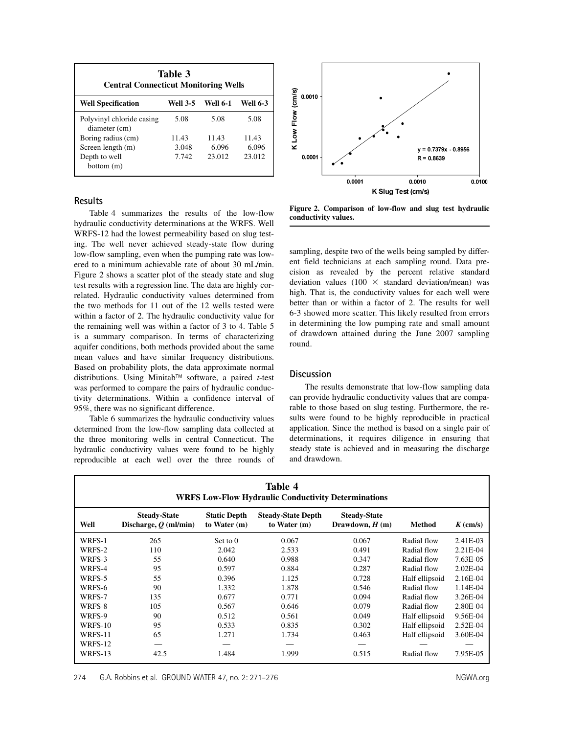| <b>Central Connecticut Monitoring Wells</b> | Table 3  |          |                 |
|---------------------------------------------|----------|----------|-----------------|
| <b>Well Specification</b>                   | Well 3-5 | Well 6-1 | <b>Well 6-3</b> |
| Polyvinyl chloride casing<br>diameter (cm)  | 5.08     | 5.08     | 5.08            |
| Boring radius (cm)                          | 11.43    | 11.43    | 11.43           |
| Screen length (m)                           | 3.048    | 6.096    | 6.096           |
| Depth to well<br>bottom(m)                  | 7.742    | 23.012   | 23.012          |

# **Results**

Table 4 summarizes the results of the low-flow hydraulic conductivity determinations at the WRFS. Well WRFS-12 had the lowest permeability based on slug testing. The well never achieved steady-state flow during low-flow sampling, even when the pumping rate was lowered to a minimum achievable rate of about 30 mL/min. Figure 2 shows a scatter plot of the steady state and slug test results with a regression line. The data are highly correlated. Hydraulic conductivity values determined from the two methods for 11 out of the 12 wells tested were within a factor of 2. The hydraulic conductivity value for the remaining well was within a factor of 3 to 4. Table 5 is a summary comparison. In terms of characterizing aquifer conditions, both methods provided about the same mean values and have similar frequency distributions. Based on probability plots, the data approximate normal distributions. Using Minitab<sup>™</sup> software, a paired t-test was performed to compare the pairs of hydraulic conductivity determinations. Within a confidence interval of 95%, there was no significant difference.

Table 6 summarizes the hydraulic conductivity values determined from the low-flow sampling data collected at the three monitoring wells in central Connecticut. The hydraulic conductivity values were found to be highly reproducible at each well over the three rounds of



Figure 2. Comparison of low-flow and slug test hydraulic conductivity values.

sampling, despite two of the wells being sampled by different field technicians at each sampling round. Data precision as revealed by the percent relative standard deviation values (100  $\times$  standard deviation/mean) was high. That is, the conductivity values for each well were better than or within a factor of 2. The results for well 6-3 showed more scatter. This likely resulted from errors in determining the low pumping rate and small amount of drawdown attained during the June 2007 sampling round.

# **Discussion**

The results demonstrate that low-flow sampling data can provide hydraulic conductivity values that are comparable to those based on slug testing. Furthermore, the results were found to be highly reproducible in practical application. Since the method is based on a single pair of determinations, it requires diligence in ensuring that steady state is achieved and in measuring the discharge and drawdown.

|                |                                                |                                     | Table 4<br><b>WRFS Low-Flow Hydraulic Conductivity Determinations</b> |                                         |                |            |
|----------------|------------------------------------------------|-------------------------------------|-----------------------------------------------------------------------|-----------------------------------------|----------------|------------|
| Well           | <b>Steady-State</b><br>Discharge, $Q$ (ml/min) | <b>Static Depth</b><br>to Water (m) | <b>Steady-State Depth</b><br>to Water (m)                             | <b>Steady-State</b><br>Drawdown, $H(m)$ | <b>Method</b>  | $K$ (cm/s) |
| WRFS-1         | 265                                            | Set to 0                            | 0.067                                                                 | 0.067                                   | Radial flow    | 2.41E-03   |
| WRFS-2         | 110                                            | 2.042                               | 2.533                                                                 | 0.491                                   | Radial flow    | 2.21E-04   |
| WRFS-3         | 55                                             | 0.640                               | 0.988                                                                 | 0.347                                   | Radial flow    | 7.63E-05   |
| WRFS-4         | 95                                             | 0.597                               | 0.884                                                                 | 0.287                                   | Radial flow    | 2.02E-04   |
| WRFS-5         | 55                                             | 0.396                               | 1.125                                                                 | 0.728                                   | Half ellipsoid | 2.16E-04   |
| WRFS-6         | 90                                             | 1.332                               | 1.878                                                                 | 0.546                                   | Radial flow    | 1.14E-04   |
| WRFS-7         | 135                                            | 0.677                               | 0.771                                                                 | 0.094                                   | Radial flow    | 3.26E-04   |
| WRFS-8         | 105                                            | 0.567                               | 0.646                                                                 | 0.079                                   | Radial flow    | 2.80E-04   |
| WRFS-9         | 90                                             | 0.512                               | 0.561                                                                 | 0.049                                   | Half ellipsoid | 9.56E-04   |
| <b>WRFS-10</b> | 95                                             | 0.533                               | 0.835                                                                 | 0.302                                   | Half ellipsoid | 2.52E-04   |
| WRFS-11        | 65                                             | 1.271                               | 1.734                                                                 | 0.463                                   | Half ellipsoid | 3.60E-04   |
| <b>WRFS-12</b> |                                                |                                     |                                                                       |                                         |                |            |
| WRFS-13        | 42.5                                           | 1.484                               | 1.999                                                                 | 0.515                                   | Radial flow    | 7.95E-05   |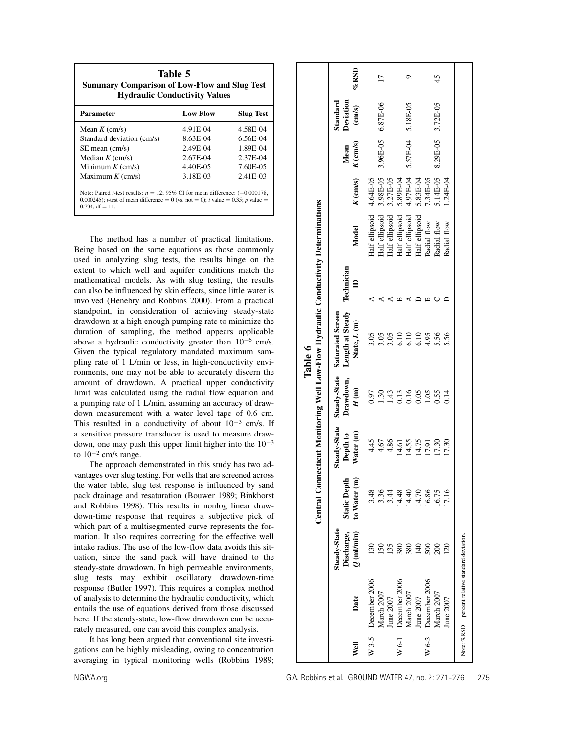| <b>Summary Comparison of Low-Flow and Slug Test</b>                                                                                                                                                  | Table 5<br><b>Hydraulic Conductivity Values</b> |                  |
|------------------------------------------------------------------------------------------------------------------------------------------------------------------------------------------------------|-------------------------------------------------|------------------|
| <b>Parameter</b>                                                                                                                                                                                     | <b>Low Flow</b>                                 | <b>Slug Test</b> |
| Mean $K$ (cm/s)                                                                                                                                                                                      | 4.91E-04                                        | 4.58E-04         |
| Standard deviation (cm/s)                                                                                                                                                                            | 8.63E-04                                        | 6.56E-04         |
| $SE$ mean $\langle$ cm/s $\rangle$                                                                                                                                                                   | 2.49E-04                                        | 1.89E-04         |
| Median $K \, \text{(cm/s)}$                                                                                                                                                                          | 2.67E-04                                        | 2.37E-04         |
| Minimum $K$ (cm/s)                                                                                                                                                                                   | 4.40E-05                                        | 7.60E-05         |
| Maximum $K$ (cm/s)                                                                                                                                                                                   | 3.18E-03                                        | 2.41E-03         |
| Note: Paired <i>t</i> -test results: $n = 12$ ; 95% CI for mean difference: $(-0.000178,$<br>0.000245); t-test of mean difference = 0 (vs. not = 0); t value = 0.35; p value =<br>$0.734$ : df = 11. |                                                 |                  |

The method has a number of practical limitations. Being based on the same equations as those commonly used in analyzing slug tests, the results hinge on the extent to which well and aquifer conditions match the mathematical models. As with slug testing, the results can also be influenced by skin effects, since little water is involved (Henebry and Robbins 2000). From a practical standpoint, in consideration of achieving steady-state drawdown at a high enough pumping rate to minimize the duration of sampling, the method appears applicable above a hydraulic conductivity greater than  $10^{-6}$  cm/s. Given the typical regulatory mandated maximum sampling rate of 1 L/min or less, in high-conductivity environments, one may not be able to accurately discern the amount of drawdown. A practical upper conductivity limit was calculated using the radial flow equation and a pumping rate of 1 L/min, assuming an accuracy of drawdown measurement with a water level tape of 0.6 cm. This resulted in a conductivity of about  $10^{-3}$  cm/s. If a sensitive pressure transducer is used to measure drawdown, one may push this upper limit higher into the  $10^{-3}$ to  $10^{-2}$  cm/s range.

The approach demonstrated in this study has two advantages over slug testing. For wells that are screened across the water table, slug test response is influenced by sand pack drainage and resaturation (Bouwer 1989; Binkhorst and Robbins 1998). This results in nonlog linear drawdown-time response that requires a subjective pick of which part of a multisegmented curve represents the formation. It also requires correcting for the effective well intake radius. The use of the low-flow data avoids this situation, since the sand pack will have drained to the steady-state drawdown. In high permeable environments, slug tests may exhibit oscillatory drawdown-time response (Butler 1997). This requires a complex method of analysis to determine the hydraulic conductivity, which entails the use of equations derived from those discussed here. If the steady-state, low-flow drawdown can be accurately measured, one can avoid this complex analysis.

It has long been argued that conventional site investigations can be highly misleading, owing to concentration averaging in typical monitoring wells (Robbins 1989;

|         |                                                   |                                                   |                                     |                                                                    |                                   | Central Connecticut Monitoring Well Low-Flow Hydraulic Conductivity Determinations |                              |                |            |                    |                                                     |                   |
|---------|---------------------------------------------------|---------------------------------------------------|-------------------------------------|--------------------------------------------------------------------|-----------------------------------|------------------------------------------------------------------------------------|------------------------------|----------------|------------|--------------------|-----------------------------------------------------|-------------------|
| Well    | Date                                              | <b>Steady-State</b><br>$Q$ (ml/min)<br>Discharge, | to Water (m)<br><b>Static Depth</b> | <b>Steady-State</b><br>$\widehat{\mathbf{g}}$<br>Depth to<br>Water | Steady-State<br>Drawdown,<br>H(m) | Length at Steady<br>Saturated Screen<br>State, L (m)                               | Technician<br>$\blacksquare$ | Model          | $K$ (cm/s) | $K$ (cm/s)<br>Mean | Deviation<br>Standard<br>$\left(\text{cm/s}\right)$ | $%$ RSD           |
|         | W $3-5$ December 2006                             |                                                   | 3.48                                | 4.45                                                               | 0.97                              | 3.05                                                                               |                              | Half ellipsoid | 4.64E-05   |                    |                                                     |                   |
|         | March 2007                                        | S                                                 | 3.36                                | 4.67                                                               | 1.30                              | 3.05                                                                               |                              | Half ellipsoid | 3.98E-05   |                    | 3.96E-05 6.87E-06                                   | $\overline{1}$    |
|         | June 2007                                         | 35                                                | 3.44                                | 4.86                                                               | 1.43                              | 3.05                                                                               |                              | Half ellipsoid | 3.27E-05   |                    |                                                     |                   |
| $W$ 6-1 | December 2006                                     | 380                                               | 14.48                               | 14.61                                                              | 0.13                              | $\frac{0}{2}$                                                                      |                              | Half ellipsoid | 5.89E-04   |                    |                                                     |                   |
|         | March 2007                                        | 380                                               | 14.40                               | 14.55                                                              | 0.16                              | 6.10                                                                               |                              | Half ellipsoid | 4.97E-04   |                    | 5.57E-04 5.18E-05                                   | ○                 |
|         | June 2007                                         | $\frac{1}{2}$                                     | 14.70                               | 14.75                                                              | 0.05                              | 6.10                                                                               |                              | Half ellipsoid | 5.83E-04   |                    |                                                     |                   |
|         | W $6-3$ December 2006                             | $\rm{S}00$                                        | 16.86                               | 17.91                                                              | 1.05                              | 4.95                                                                               |                              | Radial flow    | 7.34E-05   |                    |                                                     |                   |
|         | March 2007                                        | $_{200}$                                          | 16.75                               | 17.30                                                              | 0.55                              | 5.56                                                                               |                              | Radial flow    | 5.14E-05   |                    |                                                     | 45                |
|         | June 2007                                         | $\overline{20}$                                   | 17.16                               | 17.30                                                              | $\frac{14}{1}$                    | 5.56                                                                               |                              | Radial flow    | $1.24E-04$ |                    |                                                     |                   |
|         |                                                   |                                                   |                                     |                                                                    |                                   |                                                                                    |                              |                |            |                    |                                                     | 8.29E-05 3.72E-05 |
|         | Note: %RSD = percent relative standard deviation. |                                                   |                                     |                                                                    |                                   |                                                                                    |                              |                |            |                    |                                                     |                   |